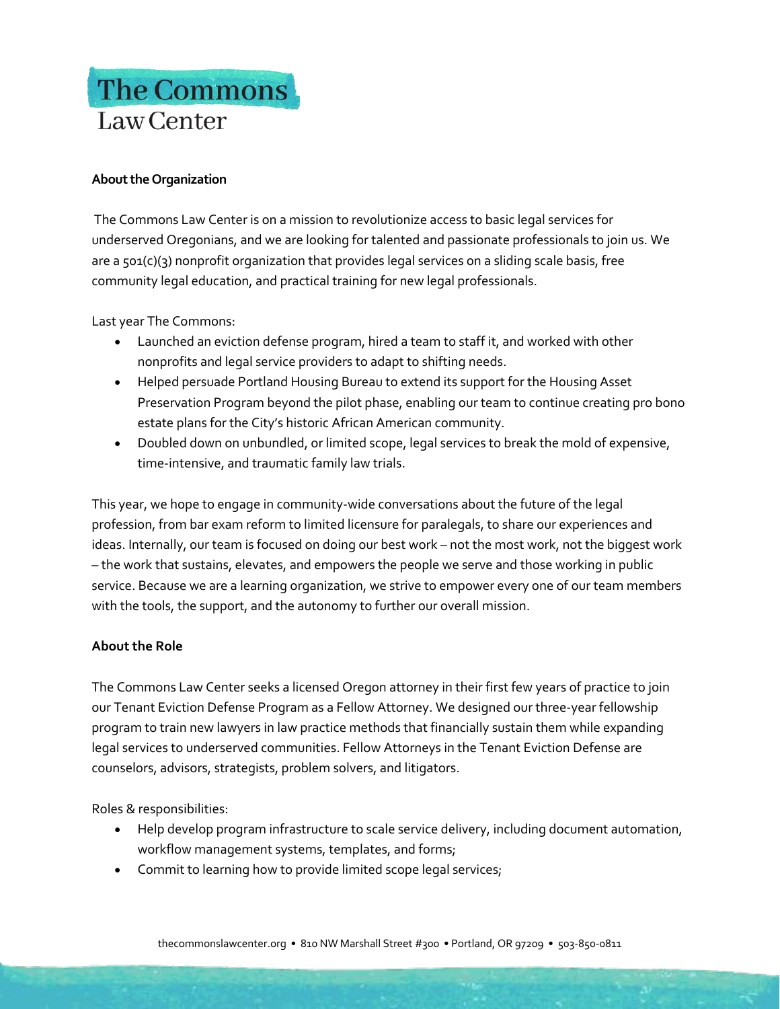## The Commons Law Center

## **About the Organization**

The Commons Law Center is on a mission to revolutionize access to basic legal services for underserved Oregonians, and we are looking for talented and passionate professionals to join us. We are a 501(c)(3) nonprofit organization that provides legal services on a sliding scale basis, free community legal education, and practical training for new legal professionals.

Last year The Commons:

- Launched an eviction defense program, hired a team to staff it, and worked with other nonprofits and legal service providers to adapt to shifting needs.
- Helped persuade Portland Housing Bureau to extend its support for the Housing Asset Preservation Program beyond the pilot phase, enabling our team to continue creating pro bono estate plans for the City's historic African American community.
- Doubled down on unbundled, or limited scope, legal services to break the mold of expensive, time-intensive, and traumatic family law trials.

This year, we hope to engage in community-wide conversations about the future of the legal profession, from bar exam reform to limited licensure for paralegals, to share our experiences and ideas. Internally, our team is focused on doing our best work – not the most work, not the biggest work – the work that sustains, elevates, and empowers the people we serve and those working in public service. Because we are a learning organization, we strive to empower every one of our team members with the tools, the support, and the autonomy to further our overall mission.

## **About the Role**

The Commons Law Center seeks a licensed Oregon attorney in their first few years of practice to join our Tenant Eviction Defense Program as a Fellow Attorney. We designed our three-year fellowship program to train new lawyers in law practice methods that financially sustain them while expanding legal services to underserved communities. Fellow Attorneys in the Tenant Eviction Defense are counselors, advisors, strategists, problem solvers, and litigators.

Roles & responsibilities:

- Help develop program infrastructure to scale service delivery, including document automation, workflow management systems, templates, and forms;
- Commit to learning how to provide limited scope legal services;